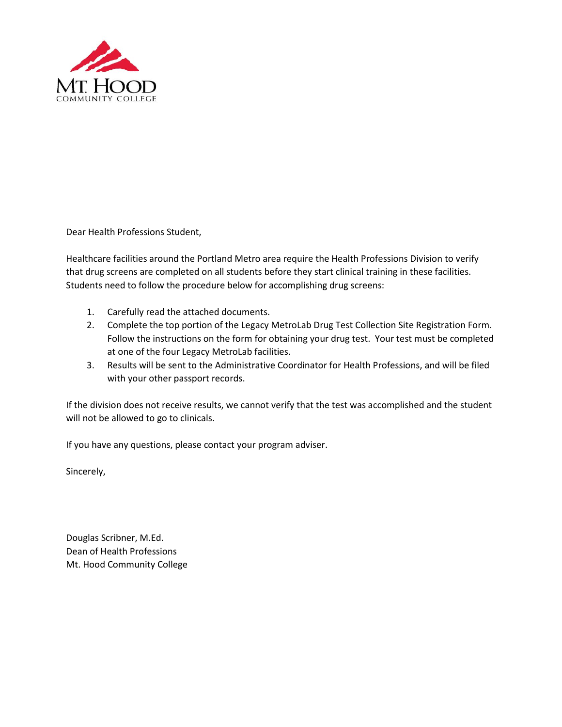

Dear Health Professions Student,

Healthcare facilities around the Portland Metro area require the Health Professions Division to verify that drug screens are completed on all students before they start clinical training in these facilities. Students need to follow the procedure below for accomplishing drug screens:

- 1. Carefully read the attached documents.
- 2. Complete the top portion of the Legacy MetroLab Drug Test Collection Site Registration Form. Follow the instructions on the form for obtaining your drug test. Your test must be completed at one of the four Legacy MetroLab facilities.
- 3. Results will be sent to the Administrative Coordinator for Health Professions, and will be filed with your other passport records.

If the division does not receive results, we cannot verify that the test was accomplished and the student will not be allowed to go to clinicals.

If you have any questions, please contact your program adviser.

Sincerely,

Douglas Scribner, M.Ed. Dean of Health Professions Mt. Hood Community College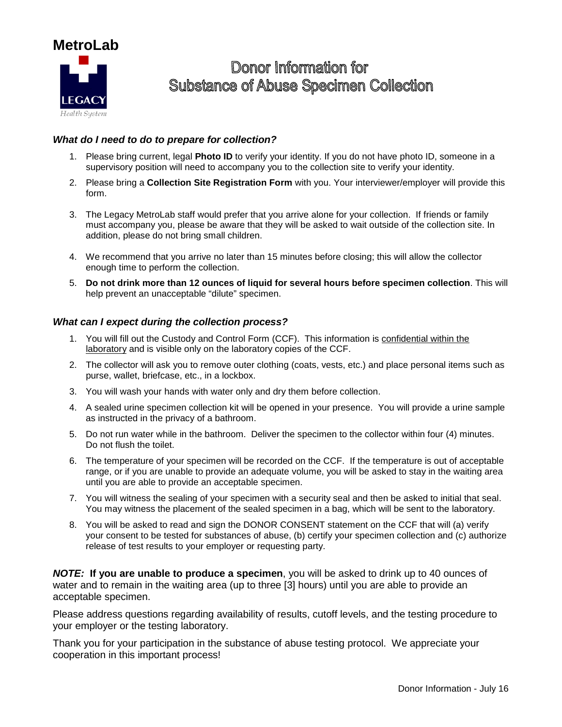

## Donor Information for **Substance of Abuse Specimen Collection**

#### *What do I need to do to prepare for collection?*

- 1. Please bring current, legal **Photo ID** to verify your identity. If you do not have photo ID, someone in a supervisory position will need to accompany you to the collection site to verify your identity.
- 2. Please bring a **Collection Site Registration Form** with you. Your interviewer/employer will provide this form.
- 3. The Legacy MetroLab staff would prefer that you arrive alone for your collection. If friends or family must accompany you, please be aware that they will be asked to wait outside of the collection site. In addition, please do not bring small children.
- 4. We recommend that you arrive no later than 15 minutes before closing; this will allow the collector enough time to perform the collection.
- 5. **Do not drink more than 12 ounces of liquid for several hours before specimen collection**. This will help prevent an unacceptable "dilute" specimen.

#### *What can I expect during the collection process?*

- 1. You will fill out the Custody and Control Form (CCF). This information is confidential within the laboratory and is visible only on the laboratory copies of the CCF.
- 2. The collector will ask you to remove outer clothing (coats, vests, etc.) and place personal items such as purse, wallet, briefcase, etc., in a lockbox.
- 3. You will wash your hands with water only and dry them before collection.
- 4. A sealed urine specimen collection kit will be opened in your presence. You will provide a urine sample as instructed in the privacy of a bathroom.
- 5. Do not run water while in the bathroom. Deliver the specimen to the collector within four (4) minutes. Do not flush the toilet.
- 6. The temperature of your specimen will be recorded on the CCF. If the temperature is out of acceptable range, or if you are unable to provide an adequate volume, you will be asked to stay in the waiting area until you are able to provide an acceptable specimen.
- 7. You will witness the sealing of your specimen with a security seal and then be asked to initial that seal. You may witness the placement of the sealed specimen in a bag, which will be sent to the laboratory.
- 8. You will be asked to read and sign the DONOR CONSENT statement on the CCF that will (a) verify your consent to be tested for substances of abuse, (b) certify your specimen collection and (c) authorize release of test results to your employer or requesting party.

*NOTE:* **If you are unable to produce a specimen**, you will be asked to drink up to 40 ounces of water and to remain in the waiting area (up to three [3] hours) until you are able to provide an acceptable specimen.

Please address questions regarding availability of results, cutoff levels, and the testing procedure to your employer or the testing laboratory.

Thank you for your participation in the substance of abuse testing protocol. We appreciate your cooperation in this important process!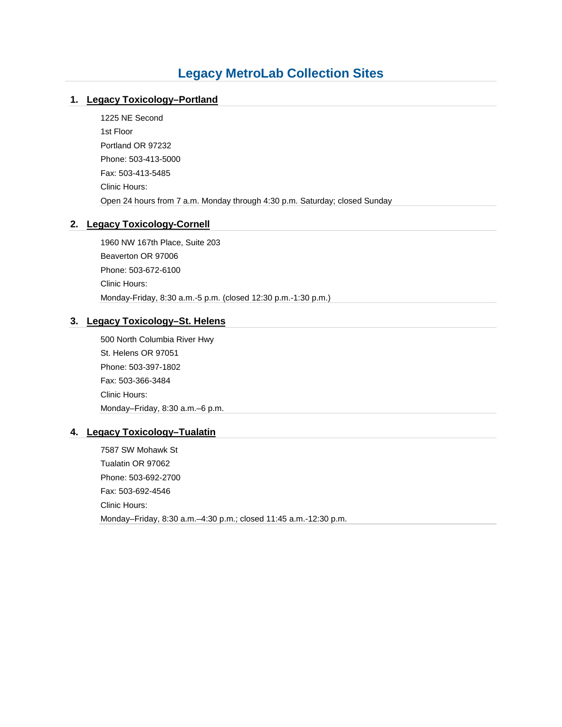## **Legacy MetroLab Collection Sites**

#### **1. [Legacy Toxicology–Portland](http://www.legacyhealth.org/locations/other-locations/drug-testing-sites/portland.aspx)**

1225 NE Second 1st Floor Portland OR 97232 Phone: 503-413-5000 Fax: 503-413-5485 Clinic Hours: Open 24 hours from 7 a.m. Monday through 4:30 p.m. Saturday; closed Sunday

#### **2. [Legacy Toxicology-Cornell](http://www.legacyhealth.org/locations/other-locations/drug-testing-sites/cornell.aspx)**

1960 NW 167th Place, Suite 203 Beaverton OR 97006 Phone: 503-672-6100 Clinic Hours: Monday-Friday, 8:30 a.m.-5 p.m. (closed 12:30 p.m.-1:30 p.m.)

#### **3. [Legacy Toxicology–St. Helens](http://www.legacyhealth.org/locations/other-locations/drug-testing-sites/st-helens.aspx)**

500 North Columbia River Hwy St. Helens OR 97051 Phone: 503-397-1802 Fax: 503-366-3484 Clinic Hours: Monday–Friday, 8:30 a.m.–6 p.m.

#### **4. [Legacy Toxicology–Tualatin](http://www.legacyhealth.org/locations/other-locations/drug-testing-sites/tualatin.aspx)**

7587 SW Mohawk St Tualatin OR 97062 Phone: 503-692-2700 Fax: 503-692-4546 Clinic Hours: Monday–Friday, 8:30 a.m.–4:30 p.m.; closed 11:45 a.m.-12:30 p.m.